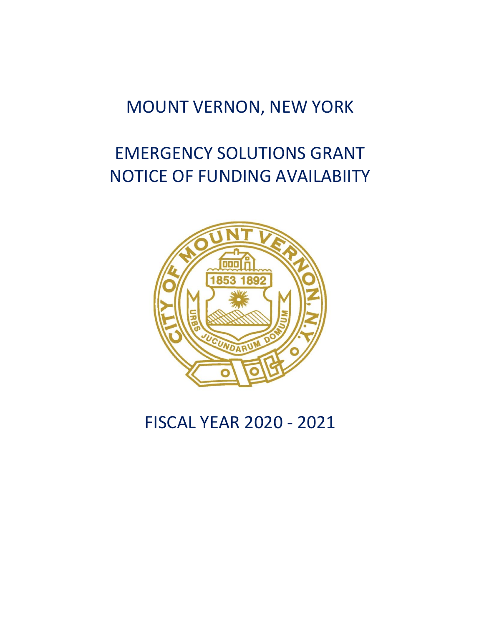# MOUNT VERNON, NEW YORK

# EMERGENCY SOLUTIONS GRANT NOTICE OF FUNDING AVAILABIITY



FISCAL YEAR 2020 - 2021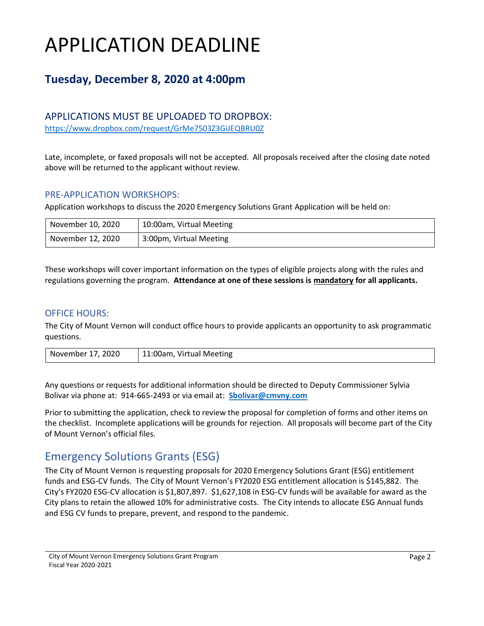# APPLICATION DEADLINE

### **Tuesday, December 8, 2020 at 4:00pm**

#### APPLICATIONS MUST BE UPLOADED TO DROPBOX:

<https://www.dropbox.com/request/GrMe7503Z3GiJEQBRU0Z>

Late, incomplete, or faxed proposals will not be accepted. All proposals received after the closing date noted above will be returned to the applicant without review.

#### PRE-APPLICATION WORKSHOPS:

Application workshops to discuss the 2020 Emergency Solutions Grant Application will be held on:

| November 10, 2020 | 10:00am, Virtual Meeting |
|-------------------|--------------------------|
| November 12, 2020 | 3:00pm, Virtual Meeting  |

These workshops will cover important information on the types of eligible projects along with the rules and regulations governing the program. **Attendance at one of these sessions is mandatory for all applicants.** 

#### OFFICE HOURS:

The City of Mount Vernon will conduct office hours to provide applicants an opportunity to ask programmatic questions.

| November 17, 2020 | 11:00am, Virtual Meeting |
|-------------------|--------------------------|
|-------------------|--------------------------|

Any questions or requests for additional information should be directed to Deputy Commissioner Sylvia Bolivar via phone at: 914-665-2493 or via email at: **[Sbolivar@cmvny.com](mailto:Sbolivar@cmvny.com)**

Prior to submitting the application, check to review the proposal for completion of forms and other items on the checklist. Incomplete applications will be grounds for rejection. All proposals will become part of the City of Mount Vernon's official files.

### Emergency Solutions Grants (ESG)

The City of Mount Vernon is requesting proposals for 2020 Emergency Solutions Grant (ESG) entitlement funds and ESG-CV funds. The City of Mount Vernon's FY2020 ESG entitlement allocation is \$145,882. The City's FY2020 ESG-CV allocation is \$1,807,897. \$1,627,108 in ESG-CV funds will be available for award as the City plans to retain the allowed 10% for administrative costs. The City intends to allocate ESG Annual funds and ESG CV funds to prepare, prevent, and respond to the pandemic.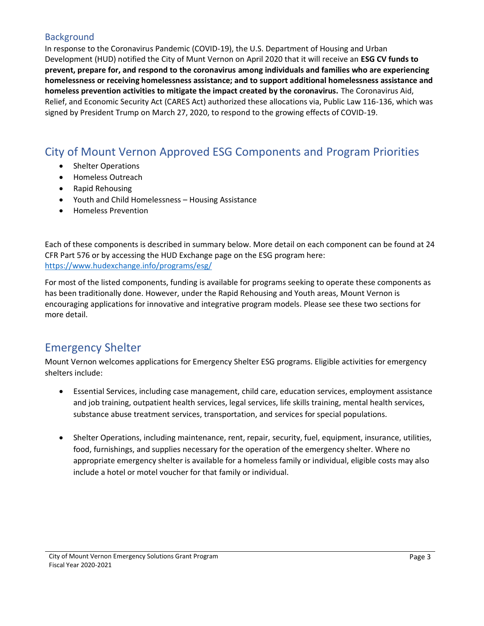#### **Background**

In response to the Coronavirus Pandemic (COVID-19), the U.S. Department of Housing and Urban Development (HUD) notified the City of Munt Vernon on April 2020 that it will receive an **ESG CV funds to prevent, prepare for, and respond to the coronavirus among individuals and families who are experiencing homelessness or receiving homelessness assistance; and to support additional homelessness assistance and homeless prevention activities to mitigate the impact created by the coronavirus.** The Coronavirus Aid, Relief, and Economic Security Act (CARES Act) authorized these allocations via, Public Law 116-136, which was signed by President Trump on March 27, 2020, to respond to the growing effects of COVID-19.

### City of Mount Vernon Approved ESG Components and Program Priorities

- Shelter Operations
- Homeless Outreach
- Rapid Rehousing
- Youth and Child Homelessness Housing Assistance
- Homeless Prevention

Each of these components is described in summary below. More detail on each component can be found at 24 CFR Part 576 or by accessing the HUD Exchange page on the ESG program here: <https://www.hudexchange.info/programs/esg/>

For most of the listed components, funding is available for programs seeking to operate these components as has been traditionally done. However, under the Rapid Rehousing and Youth areas, Mount Vernon is encouraging applications for innovative and integrative program models. Please see these two sections for more detail.

### Emergency Shelter

Mount Vernon welcomes applications for Emergency Shelter ESG programs. Eligible activities for emergency shelters include:

- Essential Services, including case management, child care, education services, employment assistance and job training, outpatient health services, legal services, life skills training, mental health services, substance abuse treatment services, transportation, and services for special populations.
- Shelter Operations, including maintenance, rent, repair, security, fuel, equipment, insurance, utilities, food, furnishings, and supplies necessary for the operation of the emergency shelter. Where no appropriate emergency shelter is available for a homeless family or individual, eligible costs may also include a hotel or motel voucher for that family or individual.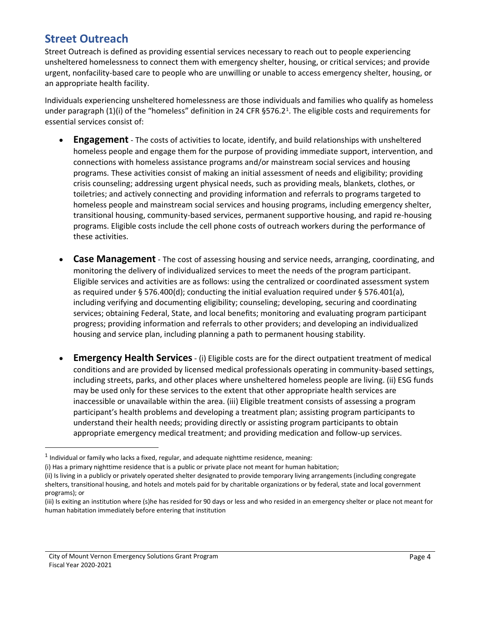### **Street Outreach**

Street Outreach is defined as providing essential services necessary to reach out to people experiencing unsheltered homelessness to connect them with emergency shelter, housing, or critical services; and provide urgent, nonfacility-based care to people who are unwilling or unable to access emergency shelter, housing, or an appropriate health facility.

Individuals experiencing unsheltered homelessness are those individuals and families who qualify as homeless under paragraph (1)(i) of the "homeless" definition in 24 CFR §576.2<sup>1</sup>. The eligible costs and requirements for essential services consist of:

- **Engagement** The costs of activities to locate, identify, and build relationships with unsheltered homeless people and engage them for the purpose of providing immediate support, intervention, and connections with homeless assistance programs and/or mainstream social services and housing programs. These activities consist of making an initial assessment of needs and eligibility; providing crisis counseling; addressing urgent physical needs, such as providing meals, blankets, clothes, or toiletries; and actively connecting and providing information and referrals to programs targeted to homeless people and mainstream social services and housing programs, including emergency shelter, transitional housing, community-based services, permanent supportive housing, and rapid re-housing programs. Eligible costs include the cell phone costs of outreach workers during the performance of these activities.
- **Case Management** The cost of assessing housing and service needs, arranging, coordinating, and monitoring the delivery of individualized services to meet the needs of the program participant. Eligible services and activities are as follows: using the centralized or coordinated assessment system as required under § 576.400(d); conducting the initial evaluation required under § 576.401(a), including verifying and documenting eligibility; counseling; developing, securing and coordinating services; obtaining Federal, State, and local benefits; monitoring and evaluating program participant progress; providing information and referrals to other providers; and developing an individualized housing and service plan, including planning a path to permanent housing stability.
- **Emergency Health Services** (i) Eligible costs are for the direct outpatient treatment of medical conditions and are provided by licensed medical professionals operating in community-based settings, including streets, parks, and other places where unsheltered homeless people are living. (ii) ESG funds may be used only for these services to the extent that other appropriate health services are inaccessible or unavailable within the area. (iii) Eligible treatment consists of assessing a program participant's health problems and developing a treatment plan; assisting program participants to understand their health needs; providing directly or assisting program participants to obtain appropriate emergency medical treatment; and providing medication and follow-up services.

 $<sup>1</sup>$  Individual or family who lacks a fixed, regular, and adequate nighttime residence, meaning:</sup>

<sup>(</sup>i) Has a primary nighttime residence that is a public or private place not meant for human habitation;

<sup>(</sup>ii) Is living in a publicly or privately operated shelter designated to provide temporary living arrangements (including congregate shelters, transitional housing, and hotels and motels paid for by charitable organizations or by federal, state and local government programs); or

<sup>(</sup>iii) Is exiting an institution where (s)he has resided for 90 days or less and who resided in an emergency shelter or place not meant for human habitation immediately before entering that institution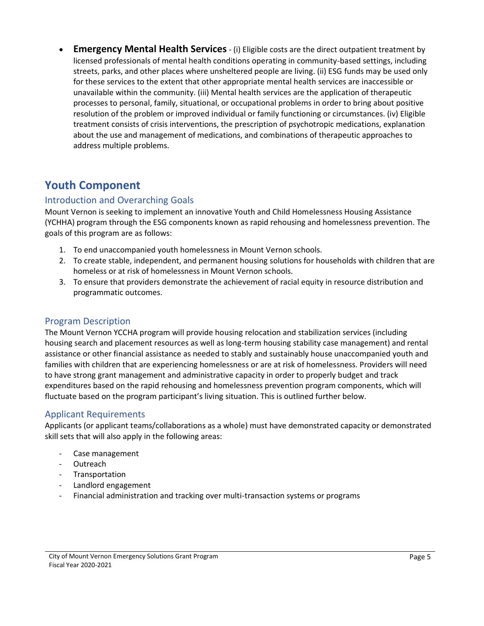• **Emergency Mental Health Services**- (i) Eligible costs are the direct outpatient treatment by licensed professionals of mental health conditions operating in community-based settings, including streets, parks, and other places where unsheltered people are living. (ii) ESG funds may be used only for these services to the extent that other appropriate mental health services are inaccessible or unavailable within the community. (iii) Mental health services are the application of therapeutic processes to personal, family, situational, or occupational problems in order to bring about positive resolution of the problem or improved individual or family functioning or circumstances. (iv) Eligible treatment consists of crisis interventions, the prescription of psychotropic medications, explanation about the use and management of medications, and combinations of therapeutic approaches to address multiple problems.

### **Youth Component**

#### Introduction and Overarching Goals

Mount Vernon is seeking to implement an innovative Youth and Child Homelessness Housing Assistance (YCHHA) program through the ESG components known as rapid rehousing and homelessness prevention. The goals of this program are as follows:

- 1. To end unaccompanied youth homelessness in Mount Vernon schools.
- 2. To create stable, independent, and permanent housing solutions for households with children that are homeless or at risk of homelessness in Mount Vernon schools.
- 3. To ensure that providers demonstrate the achievement of racial equity in resource distribution and programmatic outcomes.

#### Program Description

The Mount Vernon YCCHA program will provide housing relocation and stabilization services (including housing search and placement resources as well as long-term housing stability case management) and rental assistance or other financial assistance as needed to stably and sustainably house unaccompanied youth and families with children that are experiencing homelessness or are at risk of homelessness. Providers will need to have strong grant management and administrative capacity in order to properly budget and track expenditures based on the rapid rehousing and homelessness prevention program components, which will fluctuate based on the program participant's living situation. This is outlined further below.

#### Applicant Requirements

Applicants (or applicant teams/collaborations as a whole) must have demonstrated capacity or demonstrated skill sets that will also apply in the following areas:

- Case management
- Outreach
- Transportation
- Landlord engagement
- Financial administration and tracking over multi-transaction systems or programs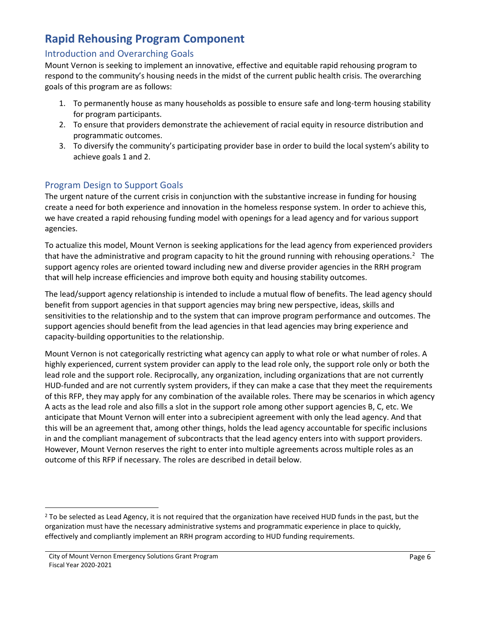### **Rapid Rehousing Program Component**

#### Introduction and Overarching Goals

Mount Vernon is seeking to implement an innovative, effective and equitable rapid rehousing program to respond to the community's housing needs in the midst of the current public health crisis. The overarching goals of this program are as follows:

- 1. To permanently house as many households as possible to ensure safe and long-term housing stability for program participants.
- 2. To ensure that providers demonstrate the achievement of racial equity in resource distribution and programmatic outcomes.
- 3. To diversify the community's participating provider base in order to build the local system's ability to achieve goals 1 and 2.

#### Program Design to Support Goals

The urgent nature of the current crisis in conjunction with the substantive increase in funding for housing create a need for both experience and innovation in the homeless response system. In order to achieve this, we have created a rapid rehousing funding model with openings for a lead agency and for various support agencies.

To actualize this model, Mount Vernon is seeking applications for the lead agency from experienced providers that have the administrative and program capacity to hit the ground running with rehousing operations.<sup>2</sup> The support agency roles are oriented toward including new and diverse provider agencies in the RRH program that will help increase efficiencies and improve both equity and housing stability outcomes.

The lead/support agency relationship is intended to include a mutual flow of benefits. The lead agency should benefit from support agencies in that support agencies may bring new perspective, ideas, skills and sensitivities to the relationship and to the system that can improve program performance and outcomes. The support agencies should benefit from the lead agencies in that lead agencies may bring experience and capacity-building opportunities to the relationship.

Mount Vernon is not categorically restricting what agency can apply to what role or what number of roles. A highly experienced, current system provider can apply to the lead role only, the support role only or both the lead role and the support role. Reciprocally, any organization, including organizations that are not currently HUD-funded and are not currently system providers, if they can make a case that they meet the requirements of this RFP, they may apply for any combination of the available roles. There may be scenarios in which agency A acts as the lead role and also fills a slot in the support role among other support agencies B, C, etc. We anticipate that Mount Vernon will enter into a subrecipient agreement with only the lead agency. And that this will be an agreement that, among other things, holds the lead agency accountable for specific inclusions in and the compliant management of subcontracts that the lead agency enters into with support providers. However, Mount Vernon reserves the right to enter into multiple agreements across multiple roles as an outcome of this RFP if necessary. The roles are described in detail below.

<sup>&</sup>lt;sup>2</sup> To be selected as Lead Agency, it is not required that the organization have received HUD funds in the past, but the organization must have the necessary administrative systems and programmatic experience in place to quickly, effectively and compliantly implement an RRH program according to HUD funding requirements.

City of Mount Vernon Emergency Solutions Grant Program Fiscal Year 2020-2021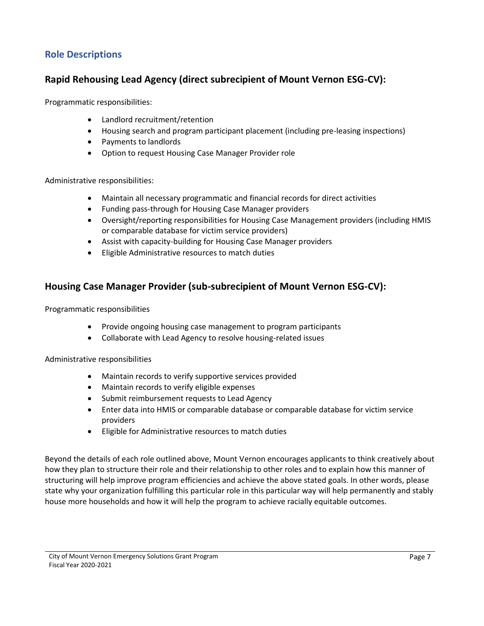#### **Role Descriptions**

#### **Rapid Rehousing Lead Agency (direct subrecipient of Mount Vernon ESG-CV):**

Programmatic responsibilities:

- Landlord recruitment/retention
- Housing search and program participant placement (including pre-leasing inspections)
- Payments to landlords
- Option to request Housing Case Manager Provider role

Administrative responsibilities:

- Maintain all necessary programmatic and financial records for direct activities
- Funding pass-through for Housing Case Manager providers
- Oversight/reporting responsibilities for Housing Case Management providers (including HMIS or comparable database for victim service providers)
- Assist with capacity-building for Housing Case Manager providers
- Eligible Administrative resources to match duties

#### **Housing Case Manager Provider (sub-subrecipient of Mount Vernon ESG-CV):**

Programmatic responsibilities

- Provide ongoing housing case management to program participants
- Collaborate with Lead Agency to resolve housing-related issues

Administrative responsibilities

- Maintain records to verify supportive services provided
- Maintain records to verify eligible expenses
- Submit reimbursement requests to Lead Agency
- Enter data into HMIS or comparable database or comparable database for victim service providers
- Eligible for Administrative resources to match duties

Beyond the details of each role outlined above, Mount Vernon encourages applicants to think creatively about how they plan to structure their role and their relationship to other roles and to explain how this manner of structuring will help improve program efficiencies and achieve the above stated goals. In other words, please state why your organization fulfilling this particular role in this particular way will help permanently and stably house more households and how it will help the program to achieve racially equitable outcomes.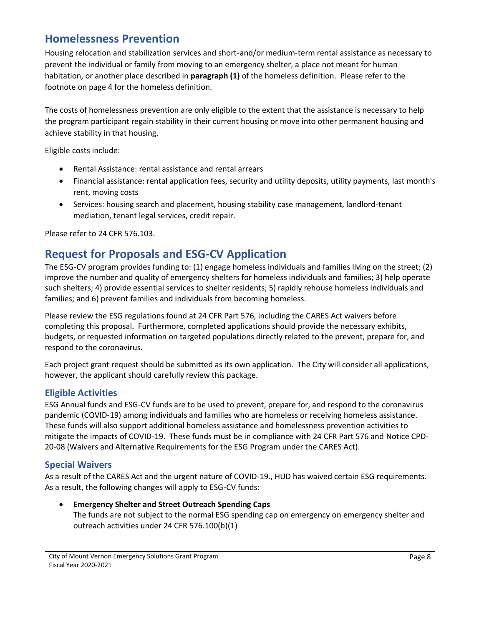### **Homelessness Prevention**

Housing relocation and stabilization services and short-and/or medium-term rental assistance as necessary to prevent the individual or family from moving to an emergency shelter, a place not meant for human habitation, or another place described in **[paragraph \(1\)](https://www.hudexchange.info/resource/1928/hearth-defining-homeless-final-rule/)** of the homeless definition. Please refer to the footnote on page 4 for the homeless definition.

The costs of homelessness prevention are only eligible to the extent that the assistance is necessary to help the program participant regain stability in their current housing or move into other permanent housing and achieve stability in that housing.

Eligible costs include:

- Rental Assistance: rental assistance and rental arrears
- Financial assistance: rental application fees, security and utility deposits, utility payments, last month's rent, moving costs
- Services: housing search and placement, housing stability case management, landlord-tenant mediation, tenant legal services, credit repair.

Please refer to 24 CFR 576.103.

### **Request for Proposals and ESG-CV Application**

The ESG-CV program provides funding to: (1) engage homeless individuals and families living on the street; (2) improve the number and quality of emergency shelters for homeless individuals and families; 3) help operate such shelters; 4) provide essential services to shelter residents; 5) rapidly rehouse homeless individuals and families; and 6) prevent families and individuals from becoming homeless.

Please review the ESG regulations found at 24 CFR Part 576, including the CARES Act waivers before completing this proposal. Furthermore, completed applications should provide the necessary exhibits, budgets, or requested information on targeted populations directly related to the prevent, prepare for, and respond to the coronavirus.

Each project grant request should be submitted as its own application. The City will consider all applications, however, the applicant should carefully review this package.

#### **Eligible Activities**

ESG Annual funds and ESG-CV funds are to be used to prevent, prepare for, and respond to the coronavirus pandemic (COVID-19) among individuals and families who are homeless or receiving homeless assistance. These funds will also support additional homeless assistance and homelessness prevention activities to mitigate the impacts of COVID-19. These funds must be in compliance with 24 CFR Part 576 and Notice CPD-20-08 (Waivers and Alternative Requirements for the ESG Program under the CARES Act).

#### **Special Waivers**

As a result of the CARES Act and the urgent nature of COVID-19., HUD has waived certain ESG requirements. As a result, the following changes will apply to ESG-CV funds:

• **Emergency Shelter and Street Outreach Spending Caps** The funds are not subject to the normal ESG spending cap on emergency on emergency shelter and outreach activities under 24 CFR 576.100(b)(1)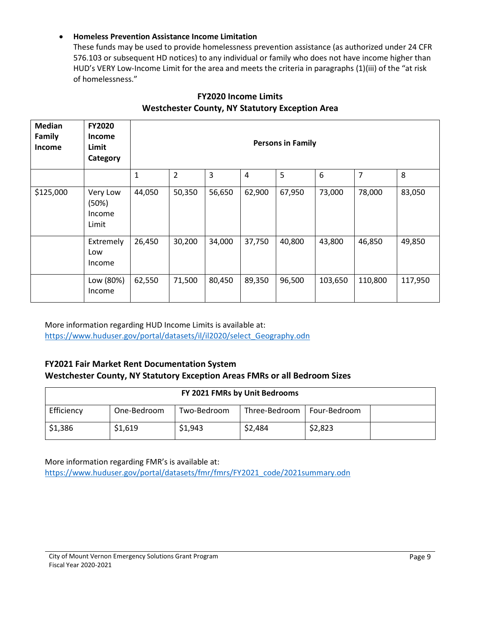#### • **Homeless Prevention Assistance Income Limitation**

These funds may be used to provide homelessness prevention assistance (as authorized under 24 CFR 576.103 or subsequent HD notices) to any individual or family who does not have income higher than HUD's VERY Low-Income Limit for the area and meets the criteria in paragraphs (1)(iii) of the "at risk of homelessness."

| <b>Median</b><br>Family<br>Income | <b>FY2020</b><br><b>Income</b><br>Limit<br>Category | <b>Persons in Family</b> |                |        |                |        |         |                |         |
|-----------------------------------|-----------------------------------------------------|--------------------------|----------------|--------|----------------|--------|---------|----------------|---------|
|                                   |                                                     | $\mathbf{1}$             | $\overline{2}$ | 3      | $\overline{4}$ | 5      | 6       | $\overline{7}$ | 8       |
| \$125,000                         | Very Low<br>(50%)<br>Income<br>Limit                | 44,050                   | 50,350         | 56,650 | 62,900         | 67,950 | 73,000  | 78,000         | 83,050  |
|                                   | Extremely<br>Low<br>Income                          | 26,450                   | 30,200         | 34,000 | 37,750         | 40,800 | 43,800  | 46,850         | 49,850  |
|                                   | Low (80%)<br>Income                                 | 62,550                   | 71,500         | 80,450 | 89,350         | 96,500 | 103,650 | 110,800        | 117,950 |

#### **FY2020 Income Limits Westchester County, NY Statutory Exception Area**

More information regarding HUD Income Limits is available at: [https://www.huduser.gov/portal/datasets/il/il2020/select\\_Geography.odn](https://www.huduser.gov/portal/datasets/il/il2020/select_Geography.odn)

#### **FY2021 Fair Market Rent Documentation System Westchester County, NY Statutory Exception Areas FMRs or all Bedroom Sizes**

| FY 2021 FMRs by Unit Bedrooms |             |             |               |              |  |
|-------------------------------|-------------|-------------|---------------|--------------|--|
| Efficiency                    | One-Bedroom | Two-Bedroom | Three-Bedroom | Four-Bedroom |  |
| \$1,386                       | \$1,619     | \$1,943     | \$2,484       | \$2,823      |  |

More information regarding FMR's is available at: [https://www.huduser.gov/portal/datasets/fmr/fmrs/FY2021\\_code/2021summary.odn](https://www.huduser.gov/portal/datasets/fmr/fmrs/FY2021_code/2021summary.odn)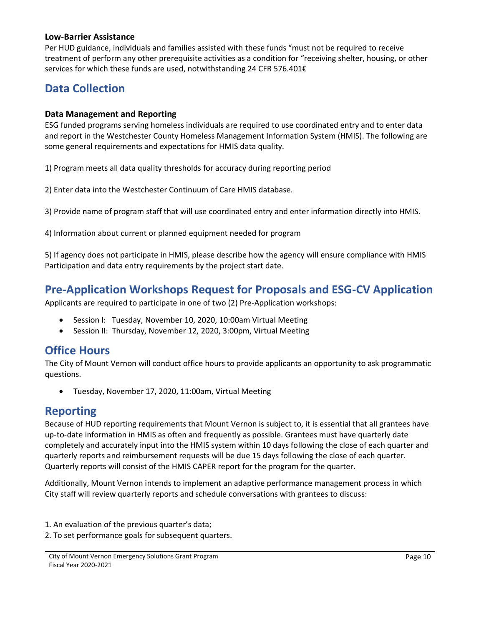#### **Low-Barrier Assistance**

Per HUD guidance, individuals and families assisted with these funds "must not be required to receive treatment of perform any other prerequisite activities as a condition for "receiving shelter, housing, or other services for which these funds are used, notwithstanding 24 CFR 576.401€

### **Data Collection**

#### **Data Management and Reporting**

ESG funded programs serving homeless individuals are required to use coordinated entry and to enter data and report in the Westchester County Homeless Management Information System (HMIS). The following are some general requirements and expectations for HMIS data quality.

1) Program meets all data quality thresholds for accuracy during reporting period

2) Enter data into the Westchester Continuum of Care HMIS database.

3) Provide name of program staff that will use coordinated entry and enter information directly into HMIS.

4) Information about current or planned equipment needed for program

5) If agency does not participate in HMIS, please describe how the agency will ensure compliance with HMIS Participation and data entry requirements by the project start date.

### **Pre-Application Workshops Request for Proposals and ESG-CV Application**

Applicants are required to participate in one of two (2) Pre-Application workshops:

- Session I: Tuesday, November 10, 2020, 10:00am Virtual Meeting
- Session II: Thursday, November 12, 2020, 3:00pm, Virtual Meeting

### **Office Hours**

The City of Mount Vernon will conduct office hours to provide applicants an opportunity to ask programmatic questions.

• Tuesday, November 17, 2020, 11:00am, Virtual Meeting

#### **Reporting**

Because of HUD reporting requirements that Mount Vernon is subject to, it is essential that all grantees have up-to-date information in HMIS as often and frequently as possible. Grantees must have quarterly date completely and accurately input into the HMIS system within 10 days following the close of each quarter and quarterly reports and reimbursement requests will be due 15 days following the close of each quarter. Quarterly reports will consist of the HMIS CAPER report for the program for the quarter.

Additionally, Mount Vernon intends to implement an adaptive performance management process in which City staff will review quarterly reports and schedule conversations with grantees to discuss:

- 1. An evaluation of the previous quarter's data;
- 2. To set performance goals for subsequent quarters.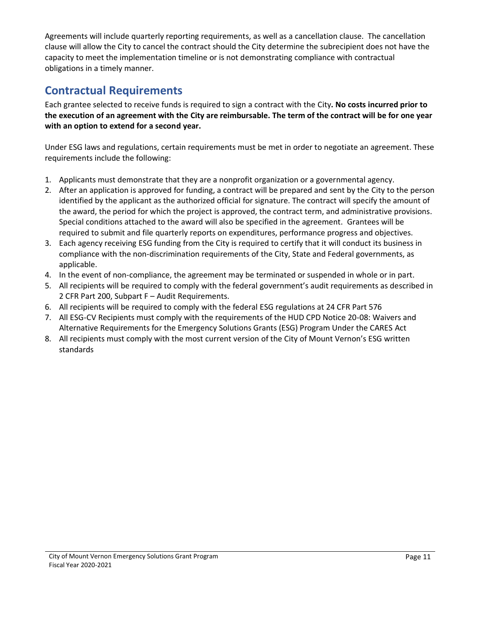Agreements will include quarterly reporting requirements, as well as a cancellation clause. The cancellation clause will allow the City to cancel the contract should the City determine the subrecipient does not have the capacity to meet the implementation timeline or is not demonstrating compliance with contractual obligations in a timely manner.

### **Contractual Requirements**

Each grantee selected to receive funds is required to sign a contract with the City**. No costs incurred prior to the execution of an agreement with the City are reimbursable. The term of the contract will be for one year with an option to extend for a second year.**

Under ESG laws and regulations, certain requirements must be met in order to negotiate an agreement. These requirements include the following:

- 1. Applicants must demonstrate that they are a nonprofit organization or a governmental agency.
- 2. After an application is approved for funding, a contract will be prepared and sent by the City to the person identified by the applicant as the authorized official for signature. The contract will specify the amount of the award, the period for which the project is approved, the contract term, and administrative provisions. Special conditions attached to the award will also be specified in the agreement. Grantees will be required to submit and file quarterly reports on expenditures, performance progress and objectives.
- 3. Each agency receiving ESG funding from the City is required to certify that it will conduct its business in compliance with the non-discrimination requirements of the City, State and Federal governments, as applicable.
- 4. In the event of non-compliance, the agreement may be terminated or suspended in whole or in part.
- 5. All recipients will be required to comply with the federal government's audit requirements as described in 2 CFR Part 200, Subpart F – Audit Requirements.
- 6. All recipients will be required to comply with the federal ESG regulations at 24 CFR Part 576
- 7. All ESG-CV Recipients must comply with the requirements of the HUD CPD Notice 20-08: Waivers and Alternative Requirements for the Emergency Solutions Grants (ESG) Program Under the CARES Act
- 8. All recipients must comply with the most current version of the City of Mount Vernon's ESG written standards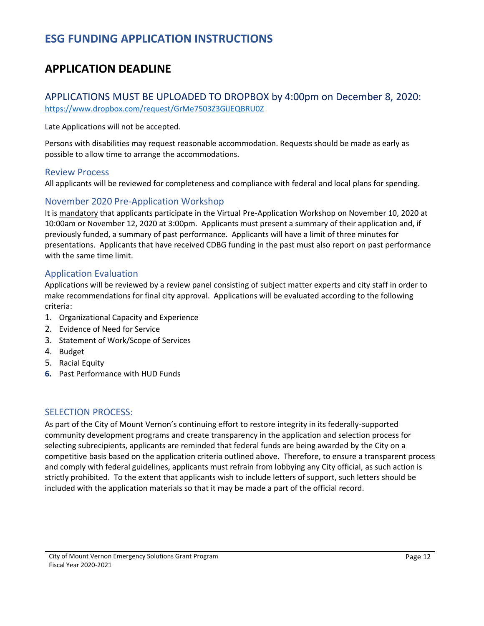### **ESG FUNDING APPLICATION INSTRUCTIONS**

### **APPLICATION DEADLINE**

#### APPLICATIONS MUST BE UPLOADED TO DROPBOX by 4:00pm on December 8, 2020: <https://www.dropbox.com/request/GrMe7503Z3GiJEQBRU0Z>

Late Applications will not be accepted.

Persons with disabilities may request reasonable accommodation. Requests should be made as early as possible to allow time to arrange the accommodations.

#### Review Process

All applicants will be reviewed for completeness and compliance with federal and local plans for spending.

#### November 2020 Pre-Application Workshop

It is mandatory that applicants participate in the Virtual Pre-Application Workshop on November 10, 2020 at 10:00am or November 12, 2020 at 3:00pm. Applicants must present a summary of their application and, if previously funded, a summary of past performance. Applicants will have a limit of three minutes for presentations. Applicants that have received CDBG funding in the past must also report on past performance with the same time limit.

#### Application Evaluation

Applications will be reviewed by a review panel consisting of subject matter experts and city staff in order to make recommendations for final city approval. Applications will be evaluated according to the following criteria:

- 1. Organizational Capacity and Experience
- 2. Evidence of Need for Service
- 3. Statement of Work/Scope of Services
- 4. Budget
- 5. Racial Equity
- **6.** Past Performance with HUD Funds

#### SELECTION PROCESS:

As part of the City of Mount Vernon's continuing effort to restore integrity in its federally-supported community development programs and create transparency in the application and selection process for selecting subrecipients, applicants are reminded that federal funds are being awarded by the City on a competitive basis based on the application criteria outlined above. Therefore, to ensure a transparent process and comply with federal guidelines, applicants must refrain from lobbying any City official, as such action is strictly prohibited. To the extent that applicants wish to include letters of support, such letters should be included with the application materials so that it may be made a part of the official record.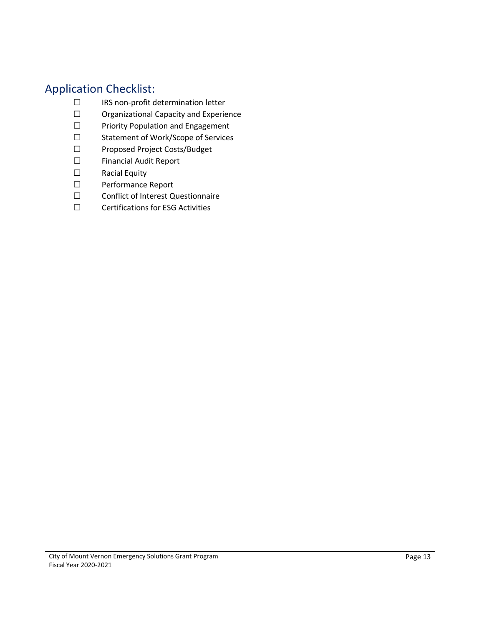### Application Checklist:

- ☐ IRS non-profit determination letter
- ☐ Organizational Capacity and Experience
- ☐ Priority Population and Engagement
- ☐ Statement of Work/Scope of Services
- ☐ Proposed Project Costs/Budget
- ☐ Financial Audit Report
- ☐ Racial Equity
- ☐ Performance Report
- ☐ Conflict of Interest Questionnaire
- ☐ Certifications for ESG Activities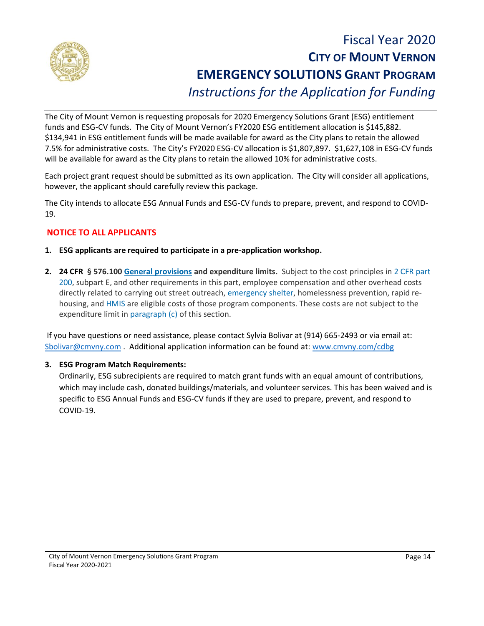

## Fiscal Year 2020 **CITY OF MOUNT VERNON EMERGENCY SOLUTIONS GRANT PROGRAM** *Instructions for the Application for Funding*

The City of Mount Vernon is requesting proposals for 2020 Emergency Solutions Grant (ESG) entitlement funds and ESG-CV funds. The City of Mount Vernon's FY2020 ESG entitlement allocation is \$145,882. \$134,941 in ESG entitlement funds will be made available for award as the City plans to retain the allowed 7.5% for administrative costs. The City's FY2020 ESG-CV allocation is \$1,807,897. \$1,627,108 in ESG-CV funds will be available for award as the City plans to retain the allowed 10% for administrative costs.

Each project grant request should be submitted as its own application. The City will consider all applications, however, the applicant should carefully review this package.

The City intends to allocate ESG Annual Funds and ESG-CV funds to prepare, prevent, and respond to COVID-19.

#### **NOTICE TO ALL APPLICANTS**

- **1. ESG applicants are required to participate in a pre-application workshop.**
- **2. 24 CFR § 576.100 [General provisions](https://www.law.cornell.edu/definitions/index.php?width=840&height=800&iframe=true&def_id=519454d969f63ab98651661d6253c0ea&term_occur=999&term_src=Title:24:Subtitle:B:Chapter:V:Subchapter:C:Part:576:Subpart:B:576.100) and expenditure limits.** Subject to the cost principles in [2 CFR part](https://www.law.cornell.edu/cfr/text/2/part-200)  [200,](https://www.law.cornell.edu/cfr/text/2/part-200) subpart E, and other requirements in this part, employee compensation and other overhead costs directly related to carrying out street outreach, [emergency shelter,](https://www.law.cornell.edu/definitions/index.php?width=840&height=800&iframe=true&def_id=20178e7fe943704fce821ca932530fa8&term_occur=999&term_src=Title:24:Subtitle:B:Chapter:V:Subchapter:C:Part:576:Subpart:B:576.100) homelessness prevention, rapid rehousing, and [HMIS](https://www.law.cornell.edu/definitions/index.php?width=840&height=800&iframe=true&def_id=00493baa4d131565152a97061a1257dc&term_occur=999&term_src=Title:24:Subtitle:B:Chapter:V:Subchapter:C:Part:576:Subpart:B:576.100) are eligible costs of those program components. These costs are not subject to the expenditure limit in [paragraph \(c\)](https://www.law.cornell.edu/cfr/text/24/576.100#c) of this section.

If you have questions or need assistance, please contact Sylvia Bolivar at (914) 665-2493 or via email at: [Sbolivar@cmvny.com](mailto:Sbolivar@cmvny.com) . Additional application information can be found at: [www.cmvny.com/cdbg](http://www.cmvny.com/cdbg)

#### **3. ESG Program Match Requirements:**

Ordinarily, ESG subrecipients are required to match grant funds with an equal amount of contributions, which may include cash, donated buildings/materials, and volunteer services. This has been waived and is specific to ESG Annual Funds and ESG-CV funds if they are used to prepare, prevent, and respond to COVID-19.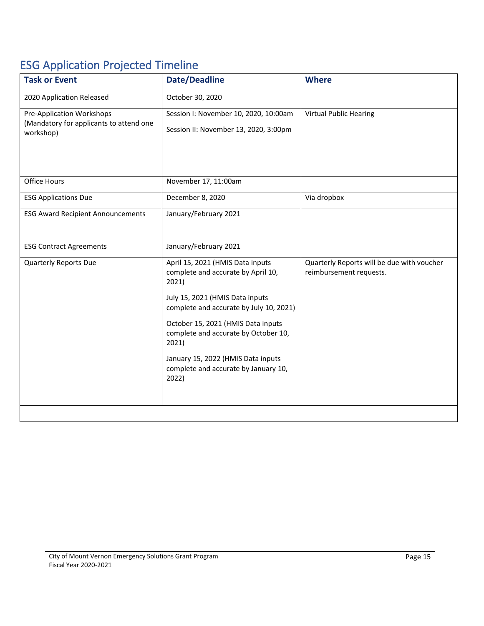# ESG Application Projected Timeline

| <b>Task or Event</b>                                                                     | <b>Date/Deadline</b>                                                                                                                                                                                                                                                                                                                        | <b>Where</b>                                                          |
|------------------------------------------------------------------------------------------|---------------------------------------------------------------------------------------------------------------------------------------------------------------------------------------------------------------------------------------------------------------------------------------------------------------------------------------------|-----------------------------------------------------------------------|
| 2020 Application Released                                                                | October 30, 2020                                                                                                                                                                                                                                                                                                                            |                                                                       |
| <b>Pre-Application Workshops</b><br>(Mandatory for applicants to attend one<br>workshop) | Session I: November 10, 2020, 10:00am<br>Session II: November 13, 2020, 3:00pm                                                                                                                                                                                                                                                              | <b>Virtual Public Hearing</b>                                         |
| Office Hours                                                                             | November 17, 11:00am                                                                                                                                                                                                                                                                                                                        |                                                                       |
| <b>ESG Applications Due</b>                                                              | December 8, 2020                                                                                                                                                                                                                                                                                                                            | Via dropbox                                                           |
| <b>ESG Award Recipient Announcements</b>                                                 | January/February 2021                                                                                                                                                                                                                                                                                                                       |                                                                       |
| <b>ESG Contract Agreements</b>                                                           | January/February 2021                                                                                                                                                                                                                                                                                                                       |                                                                       |
| <b>Quarterly Reports Due</b>                                                             | April 15, 2021 (HMIS Data inputs<br>complete and accurate by April 10,<br>2021)<br>July 15, 2021 (HMIS Data inputs<br>complete and accurate by July 10, 2021)<br>October 15, 2021 (HMIS Data inputs<br>complete and accurate by October 10,<br>2021)<br>January 15, 2022 (HMIS Data inputs<br>complete and accurate by January 10,<br>2022) | Quarterly Reports will be due with voucher<br>reimbursement requests. |
|                                                                                          |                                                                                                                                                                                                                                                                                                                                             |                                                                       |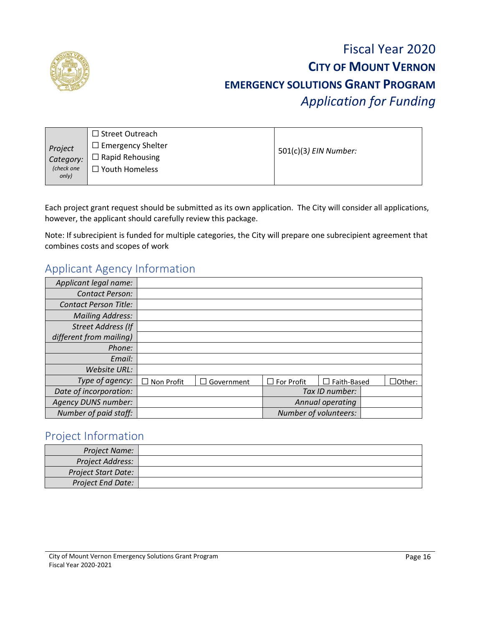

## Fiscal Year 2020 **CITY OF MOUNT VERNON EMERGENCY SOLUTIONS GRANT PROGRAM** *Application for Funding*

| Project<br>Category:<br>(check one<br>only) | $\Box$ Street Outreach<br>$\Box$ Emergency Shelter<br>$\Box$ Rapid Rehousing<br>$\Box$ Youth Homeless | 501(c)(3) EIN Number: |
|---------------------------------------------|-------------------------------------------------------------------------------------------------------|-----------------------|
|---------------------------------------------|-------------------------------------------------------------------------------------------------------|-----------------------|

Each project grant request should be submitted as its own application. The City will consider all applications, however, the applicant should carefully review this package.

Note: If subrecipient is funded for multiple categories, the City will prepare one subrecipient agreement that combines costs and scopes of work

### Applicant Agency Information

| Applicant legal name:        |                   |                   |                   |                       |               |
|------------------------------|-------------------|-------------------|-------------------|-----------------------|---------------|
| <b>Contact Person:</b>       |                   |                   |                   |                       |               |
| <b>Contact Person Title:</b> |                   |                   |                   |                       |               |
| <b>Mailing Address:</b>      |                   |                   |                   |                       |               |
| <b>Street Address (If</b>    |                   |                   |                   |                       |               |
| different from mailing)      |                   |                   |                   |                       |               |
| Phone:                       |                   |                   |                   |                       |               |
| Email:                       |                   |                   |                   |                       |               |
| Website URL:                 |                   |                   |                   |                       |               |
| Type of agency:              | $\Box$ Non Profit | $\Box$ Government | $\Box$ For Profit | $\Box$ Faith-Based    | $\Box$ Other: |
| Date of incorporation:       |                   |                   |                   | Tax ID number:        |               |
| <b>Agency DUNS number:</b>   |                   |                   |                   | Annual operating      |               |
| Number of paid staff:        |                   |                   |                   | Number of volunteers: |               |

#### Project Information

| Project Name:              |  |
|----------------------------|--|
| Project Address:           |  |
| <b>Project Start Date:</b> |  |
| <b>Project End Date:</b>   |  |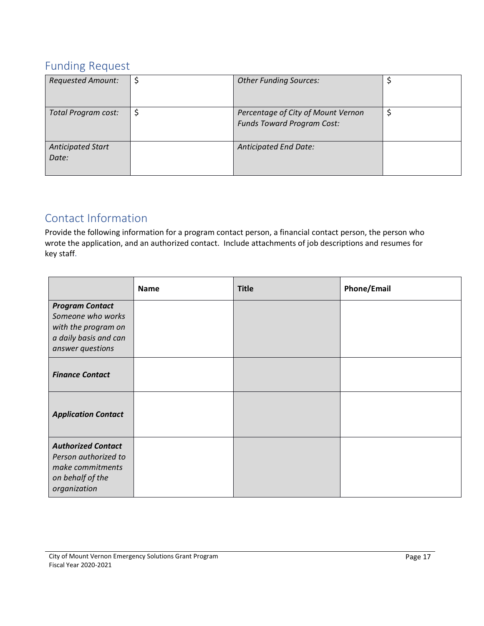### Funding Request

| <b>Requested Amount:</b>   | \$<br><b>Other Funding Sources:</b>                                           |  |
|----------------------------|-------------------------------------------------------------------------------|--|
| Total Program cost:        | \$<br>Percentage of City of Mount Vernon<br><b>Funds Toward Program Cost:</b> |  |
| Anticipated Start<br>Date: | <b>Anticipated End Date:</b>                                                  |  |

### Contact Information

Provide the following information for a program contact person, a financial contact person, the person who wrote the application, and an authorized contact. Include attachments of job descriptions and resumes for key staff.

|                                                                                                                 | <b>Name</b> | <b>Title</b> | <b>Phone/Email</b> |
|-----------------------------------------------------------------------------------------------------------------|-------------|--------------|--------------------|
| <b>Program Contact</b><br>Someone who works<br>with the program on<br>a daily basis and can<br>answer questions |             |              |                    |
| <b>Finance Contact</b>                                                                                          |             |              |                    |
| <b>Application Contact</b>                                                                                      |             |              |                    |
| <b>Authorized Contact</b><br>Person authorized to<br>make commitments<br>on behalf of the<br>organization       |             |              |                    |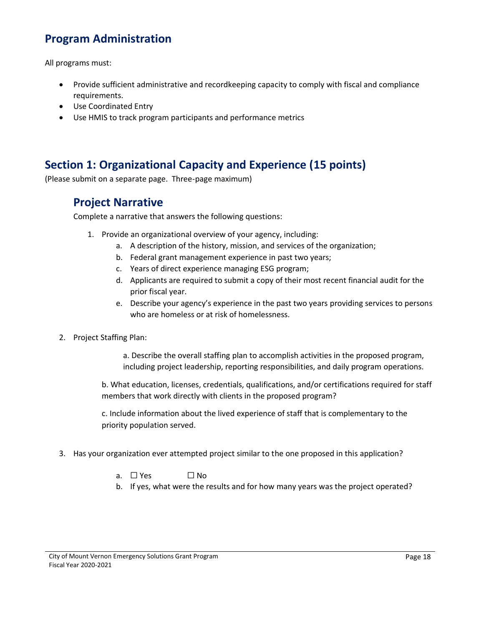### **Program Administration**

All programs must:

- Provide sufficient administrative and recordkeeping capacity to comply with fiscal and compliance requirements.
- Use Coordinated Entry
- Use HMIS to track program participants and performance metrics

### **Section 1: Organizational Capacity and Experience (15 points)**

(Please submit on a separate page. Three-page maximum)

### **Project Narrative**

Complete a narrative that answers the following questions:

- 1. Provide an organizational overview of your agency, including:
	- a. A description of the history, mission, and services of the organization;
	- b. Federal grant management experience in past two years;
	- c. Years of direct experience managing ESG program;
	- d. Applicants are required to submit a copy of their most recent financial audit for the prior fiscal year.
	- e. Describe your agency's experience in the past two years providing services to persons who are homeless or at risk of homelessness.
- 2. Project Staffing Plan:

a. Describe the overall staffing plan to accomplish activities in the proposed program, including project leadership, reporting responsibilities, and daily program operations.

b. What education, licenses, credentials, qualifications, and/or certifications required for staff members that work directly with clients in the proposed program?

c. Include information about the lived experience of staff that is complementary to the priority population served.

- 3. Has your organization ever attempted project similar to the one proposed in this application?
	- a.  $\square$  Yes  $\square$  No
	- b. If yes, what were the results and for how many years was the project operated?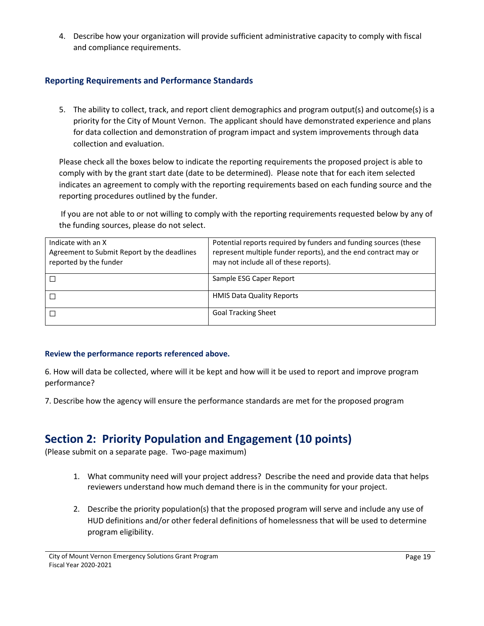4. Describe how your organization will provide sufficient administrative capacity to comply with fiscal and compliance requirements.

#### **Reporting Requirements and Performance Standards**

5. The ability to collect, track, and report client demographics and program output(s) and outcome(s) is a priority for the City of Mount Vernon. The applicant should have demonstrated experience and plans for data collection and demonstration of program impact and system improvements through data collection and evaluation.

Please check all the boxes below to indicate the reporting requirements the proposed project is able to comply with by the grant start date (date to be determined). Please note that for each item selected indicates an agreement to comply with the reporting requirements based on each funding source and the reporting procedures outlined by the funder.

If you are not able to or not willing to comply with the reporting requirements requested below by any of the funding sources, please do not select.

| Indicate with an X<br>Agreement to Submit Report by the deadlines<br>reported by the funder | Potential reports required by funders and funding sources (these<br>represent multiple funder reports), and the end contract may or<br>may not include all of these reports). |
|---------------------------------------------------------------------------------------------|-------------------------------------------------------------------------------------------------------------------------------------------------------------------------------|
|                                                                                             | Sample ESG Caper Report                                                                                                                                                       |
|                                                                                             | <b>HMIS Data Quality Reports</b>                                                                                                                                              |
|                                                                                             | <b>Goal Tracking Sheet</b>                                                                                                                                                    |

#### **Review the performance reports referenced above.**

6. How will data be collected, where will it be kept and how will it be used to report and improve program performance?

7. Describe how the agency will ensure the performance standards are met for the proposed program

### **Section 2: Priority Population and Engagement (10 points)**

(Please submit on a separate page. Two-page maximum)

- 1. What community need will your project address? Describe the need and provide data that helps reviewers understand how much demand there is in the community for your project.
- 2. Describe the priority population(s) that the proposed program will serve and include any use of HUD definitions and/or other federal definitions of homelessness that will be used to determine program eligibility.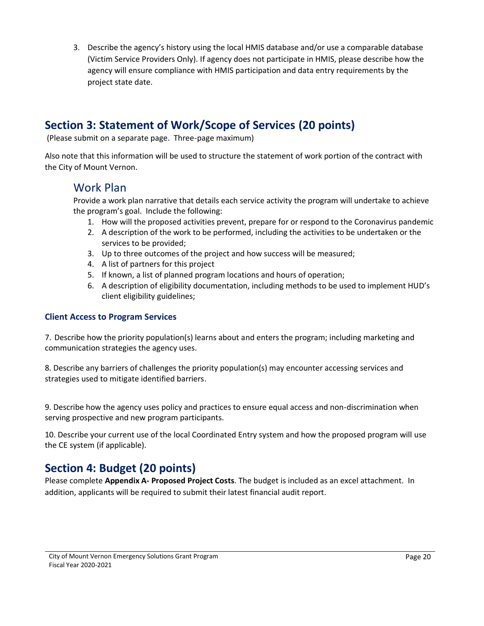3. Describe the agency's history using the local HMIS database and/or use a comparable database (Victim Service Providers Only). If agency does not participate in HMIS, please describe how the agency will ensure compliance with HMIS participation and data entry requirements by the project state date.

### **Section 3: Statement of Work/Scope of Services (20 points)**

(Please submit on a separate page. Three-page maximum)

Also note that this information will be used to structure the statement of work portion of the contract with the City of Mount Vernon.

### Work Plan

Provide a work plan narrative that details each service activity the program will undertake to achieve the program's goal. Include the following:

- 1. How will the proposed activities prevent, prepare for or respond to the Coronavirus pandemic
- 2. A description of the work to be performed, including the activities to be undertaken or the services to be provided;
- 3. Up to three outcomes of the project and how success will be measured;
- 4. A list of partners for this project
- 5. If known, a list of planned program locations and hours of operation;
- 6. A description of eligibility documentation, including methods to be used to implement HUD's client eligibility guidelines;

#### **Client Access to Program Services**

7. Describe how the priority population(s) learns about and enters the program; including marketing and communication strategies the agency uses.

8. Describe any barriers of challenges the priority population(s) may encounter accessing services and strategies used to mitigate identified barriers.

9. Describe how the agency uses policy and practices to ensure equal access and non-discrimination when serving prospective and new program participants.

10. Describe your current use of the local Coordinated Entry system and how the proposed program will use the CE system (if applicable).

### **Section 4: Budget (20 points)**

Please complete **Appendix A- Proposed Project Costs**. The budget is included as an excel attachment. In addition, applicants will be required to submit their latest financial audit report.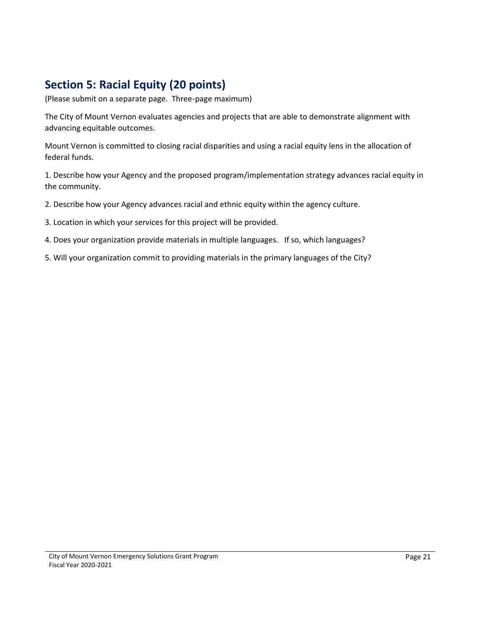### **Section 5: Racial Equity (20 points)**

(Please submit on a separate page. Three-page maximum)

The City of Mount Vernon evaluates agencies and projects that are able to demonstrate alignment with advancing equitable outcomes.

Mount Vernon is committed to closing racial disparities and using a racial equity lens in the allocation of federal funds.

1. Describe how your Agency and the proposed program/implementation strategy advances racial equity in the community.

2. Describe how your Agency advances racial and ethnic equity within the agency culture.

3. Location in which your services for this project will be provided.

4. Does your organization provide materials in multiple languages. If so, which languages?

5. Will your organization commit to providing materials in the primary languages of the City?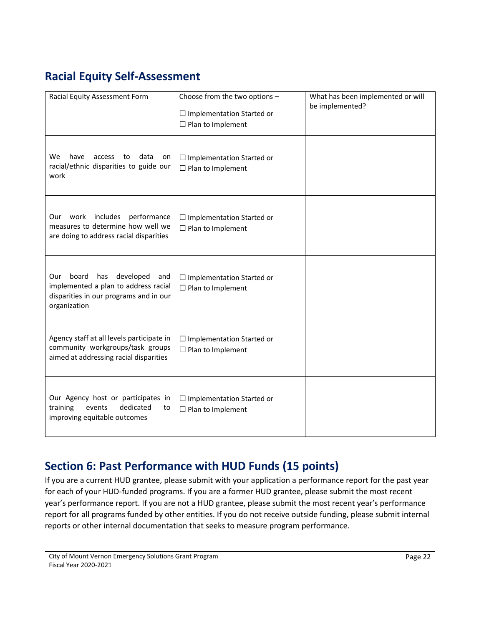### **Racial Equity Self-Assessment**

| Racial Equity Assessment Form                                                                                                             | Choose from the two options -<br>$\Box$ Implementation Started or<br>$\Box$ Plan to Implement | What has been implemented or will<br>be implemented? |
|-------------------------------------------------------------------------------------------------------------------------------------------|-----------------------------------------------------------------------------------------------|------------------------------------------------------|
| have<br>data<br>We<br>to<br>access<br>on<br>racial/ethnic disparities to guide our<br>work                                                | $\Box$ Implementation Started or<br>$\Box$ Plan to Implement                                  |                                                      |
| Our work includes<br>performance<br>measures to determine how well we<br>are doing to address racial disparities                          | $\Box$ Implementation Started or<br>$\Box$ Plan to Implement                                  |                                                      |
| board<br>has<br>developed<br>Our<br>and<br>implemented a plan to address racial<br>disparities in our programs and in our<br>organization | $\Box$ Implementation Started or<br>$\Box$ Plan to Implement                                  |                                                      |
| Agency staff at all levels participate in<br>community workgroups/task groups<br>aimed at addressing racial disparities                   | $\Box$ Implementation Started or<br>$\Box$ Plan to Implement                                  |                                                      |
| Our Agency host or participates in<br>training<br>dedicated<br>events<br>to<br>improving equitable outcomes                               | $\Box$ Implementation Started or<br>$\Box$ Plan to Implement                                  |                                                      |

### **Section 6: Past Performance with HUD Funds (15 points)**

If you are a current HUD grantee, please submit with your application a performance report for the past year for each of your HUD-funded programs. If you are a former HUD grantee, please submit the most recent year's performance report. If you are not a HUD grantee, please submit the most recent year's performance report for all programs funded by other entities. If you do not receive outside funding, please submit internal reports or other internal documentation that seeks to measure program performance.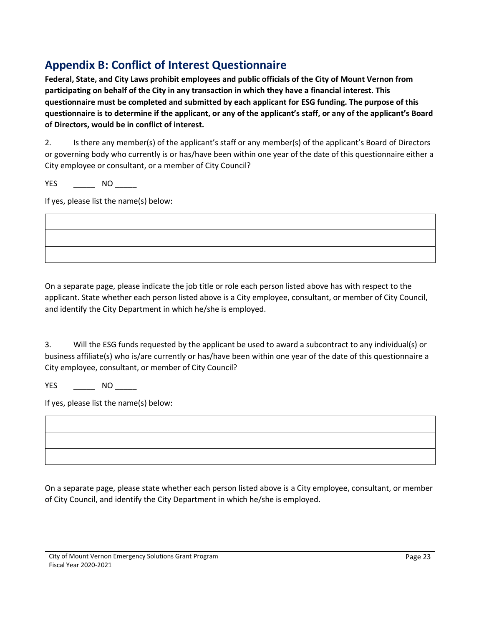### **Appendix B: Conflict of Interest Questionnaire**

**Federal, State, and City Laws prohibit employees and public officials of the City of Mount Vernon from participating on behalf of the City in any transaction in which they have a financial interest. This questionnaire must be completed and submitted by each applicant for ESG funding. The purpose of this questionnaire is to determine if the applicant, or any of the applicant's staff, or any of the applicant's Board of Directors, would be in conflict of interest.**

2. Is there any member(s) of the applicant's staff or any member(s) of the applicant's Board of Directors or governing body who currently is or has/have been within one year of the date of this questionnaire either a City employee or consultant, or a member of City Council?

YES \_\_\_\_\_\_\_\_\_\_ NO \_\_\_\_\_\_\_

If yes, please list the name(s) below:

On a separate page, please indicate the job title or role each person listed above has with respect to the applicant. State whether each person listed above is a City employee, consultant, or member of City Council, and identify the City Department in which he/she is employed.

3. Will the ESG funds requested by the applicant be used to award a subcontract to any individual(s) or business affiliate(s) who is/are currently or has/have been within one year of the date of this questionnaire a City employee, consultant, or member of City Council?

YES \_\_\_\_\_\_\_\_ NO \_\_\_\_\_\_

If yes, please list the name(s) below:

On a separate page, please state whether each person listed above is a City employee, consultant, or member of City Council, and identify the City Department in which he/she is employed.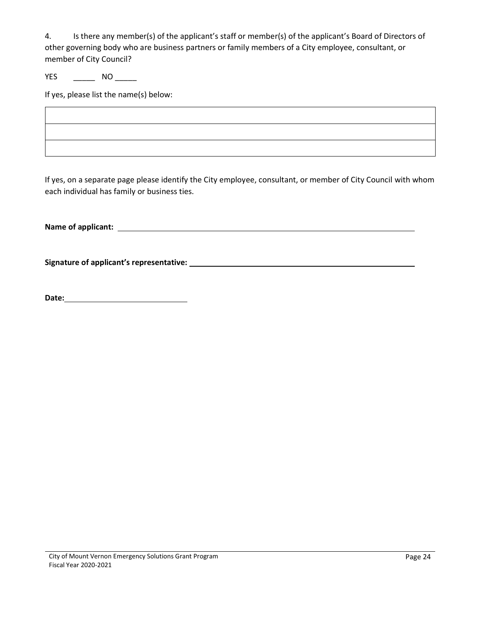4. Is there any member(s) of the applicant's staff or member(s) of the applicant's Board of Directors of other governing body who are business partners or family members of a City employee, consultant, or member of City Council?

YES \_\_\_\_\_\_\_\_\_ NO \_\_\_\_\_\_\_

If yes, please list the name(s) below:

If yes, on a separate page please identify the City employee, consultant, or member of City Council with whom each individual has family or business ties.

**Name of applicant:** 

**Signature of applicant's representative:** 

**Date:**